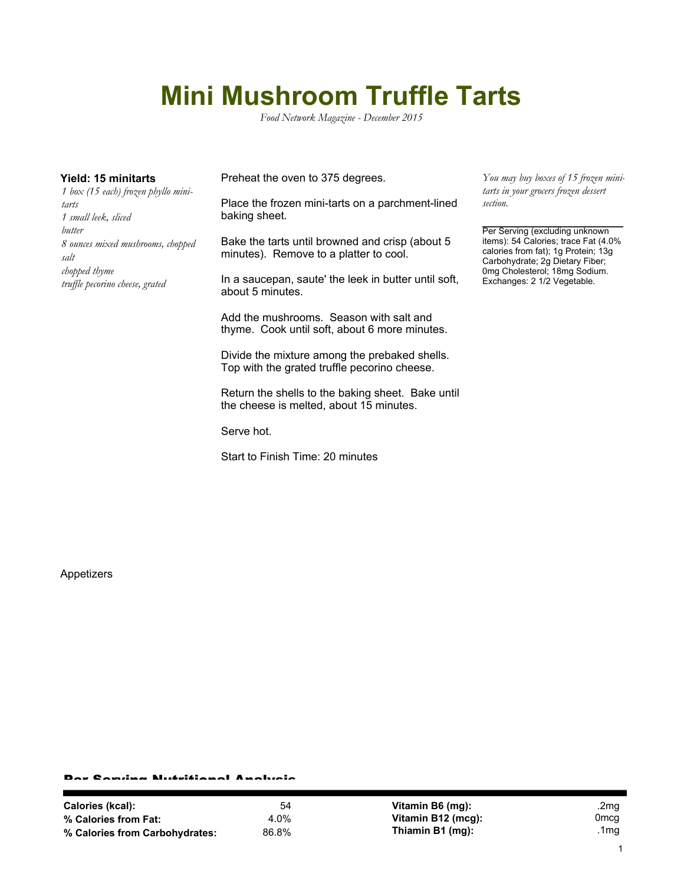## **Mini Mushroom Truffle Tarts**

*Food Network Magazine - December 2015*

*1 box (15 each) frozen phyllo minitarts 1 small leek, sliced butter 8 ounces mixed mushrooms, chopped salt chopped thyme truffle pecorino cheese, grated*

**Yield: 15 minitarts** Preheat the oven to 375 degrees.

Place the frozen mini-tarts on a parchment-lined baking sheet.

Bake the tarts until browned and crisp (about 5 minutes). Remove to a platter to cool.

In a saucepan, saute' the leek in butter until soft, about 5 minutes.

Add the mushrooms. Season with salt and thyme. Cook until soft, about 6 more minutes.

Divide the mixture among the prebaked shells. Top with the grated truffle pecorino cheese.

Return the shells to the baking sheet. Bake until the cheese is melted, about 15 minutes.

Serve hot.

Start to Finish Time: 20 minutes

*You may buy boxes of 15 frozen minitarts in your grocers frozen dessert section.*

Per Serving (excluding unknown items): 54 Calories; trace Fat (4.0% calories from fat); 1g Protein; 13g Carbohydrate; 2g Dietary Fiber; 0mg Cholesterol; 18mg Sodium. Exchanges: 2 1/2 Vegetable.

Appetizers

## Per Serving Nutritional Analysis

| Calories (kcal):               | 54    |
|--------------------------------|-------|
| % Calories from Fat:           | 4.0%  |
| % Calories from Carbohydrates: | 86.8% |

**Vitamin B6 (mg):** .2mg **Vitamin B12 (mcg):** 0mcg **Thiamin B1 (mg):** .1mg